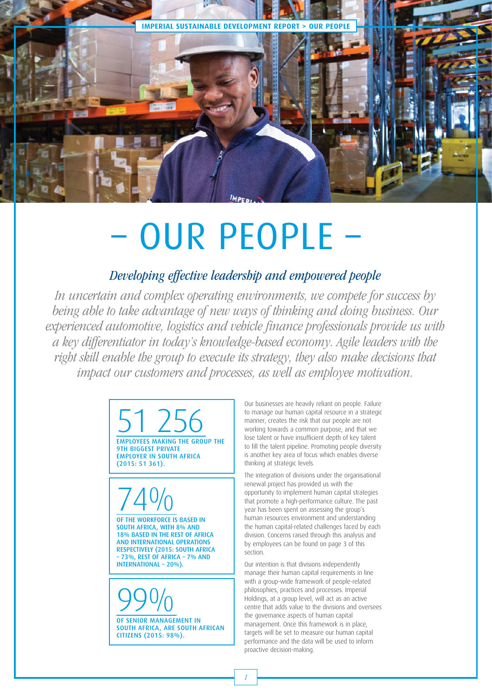

# – OUR PEOPLE –

## Developing effective leadership and empowered people

In uncertain and complex operating environments, we compete for success by being able to take advantage of new ways of thinking and doing business. Our experienced automotive, logistics and vehicle finance professionals provide us with a key differentiator in today's knowledge-based economy. Agile leaders with the right skill enable the group to execute its strategy, they also make decisions that impact our customers and processes, as well as employee motivation.

> 51 256<br>EMPLOYEES MAKING THE GROUP THE 9TH BIGGEST PRIVATE EMPLOYER IN SOUTH AFRICA (2015: 51 361).



SOUTH AFRICA, WITH 8% AND 18% BASED IN THE REST OF AFRICA AND INTERNATIONAL OPERATIONS RESPECTIVELY (2015: SOUTH AFRICA – 73%, REST OF AFRICA – 7% AND INTERNATIONAL – 20%).

99% OF SENIOR MANAGEMENT IN SOUTH AFRICA, ARE SOUTH AFRICAN CITIZENS (2015: 98%).

Our businesses are heavily reliant on people. Failure to manage our human capital resource in a strategic manner, creates the risk that our people are not working towards a common purpose, and that we lose talent or have insufficient depth of key talent to fill the talent pipeline. Promoting people diversity is another key area of focus which enables diverse thinking at strategic levels.

The integration of divisions under the organisational renewal project has provided us with the opportunity to implement human capital strategies that promote a high-performance culture. The past year has been spent on assessing the group's human resources environment and understanding the human capital-related challenges faced by each division. Concerns raised through this analysis and by employees can be found on page 3 of this section.

Our intention is that divisions independently manage their human capital requirements in line with a group-wide framework of people-related philosophies, practices and processes. Imperial Holdings, at a group level, will act as an active centre that adds value to the divisions and oversees the governance aspects of human capital management. Once this framework is in place, targets will be set to measure our human capital performance and the data will be used to inform proactive decision-making.